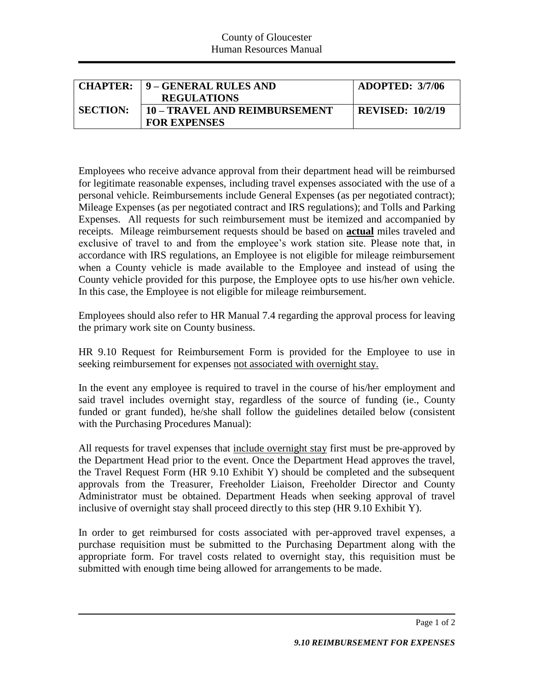|                 | <b>CHAPTER: 19 – GENERAL RULES AND</b> | ADOPTED: 3/7/06         |
|-----------------|----------------------------------------|-------------------------|
|                 | <b>REGULATIONS</b>                     |                         |
| <b>SECTION:</b> | 10 – TRAVEL AND REIMBURSEMENT          | <b>REVISED: 10/2/19</b> |
|                 | <b>FOR EXPENSES</b>                    |                         |

Employees who receive advance approval from their department head will be reimbursed for legitimate reasonable expenses, including travel expenses associated with the use of a personal vehicle. Reimbursements include General Expenses (as per negotiated contract); Mileage Expenses (as per negotiated contract and IRS regulations); and Tolls and Parking Expenses. All requests for such reimbursement must be itemized and accompanied by receipts. Mileage reimbursement requests should be based on **actual** miles traveled and exclusive of travel to and from the employee's work station site. Please note that, in accordance with IRS regulations, an Employee is not eligible for mileage reimbursement when a County vehicle is made available to the Employee and instead of using the County vehicle provided for this purpose, the Employee opts to use his/her own vehicle. In this case, the Employee is not eligible for mileage reimbursement.

Employees should also refer to HR Manual 7.4 regarding the approval process for leaving the primary work site on County business.

HR 9.10 Request for Reimbursement Form is provided for the Employee to use in seeking reimbursement for expenses not associated with overnight stay.

In the event any employee is required to travel in the course of his/her employment and said travel includes overnight stay, regardless of the source of funding (ie., County funded or grant funded), he/she shall follow the guidelines detailed below (consistent with the Purchasing Procedures Manual):

All requests for travel expenses that include overnight stay first must be pre-approved by the Department Head prior to the event. Once the Department Head approves the travel, the Travel Request Form (HR 9.10 Exhibit Y) should be completed and the subsequent approvals from the Treasurer, Freeholder Liaison, Freeholder Director and County Administrator must be obtained. Department Heads when seeking approval of travel inclusive of overnight stay shall proceed directly to this step (HR 9.10 Exhibit Y).

In order to get reimbursed for costs associated with per-approved travel expenses, a purchase requisition must be submitted to the Purchasing Department along with the appropriate form. For travel costs related to overnight stay, this requisition must be submitted with enough time being allowed for arrangements to be made.

Page 1 of 2